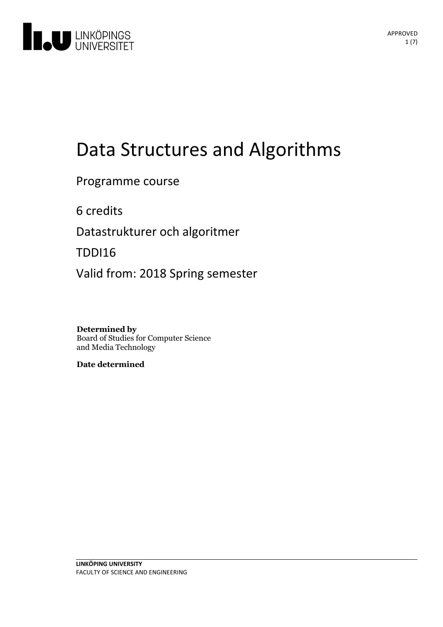

# Data Structures and Algorithms

Programme course

6 credits

Datastrukturer och algoritmer

TDDI16

Valid from: 2018 Spring semester

**Determined by** Board of Studies for Computer Science and Media Technology

**Date determined**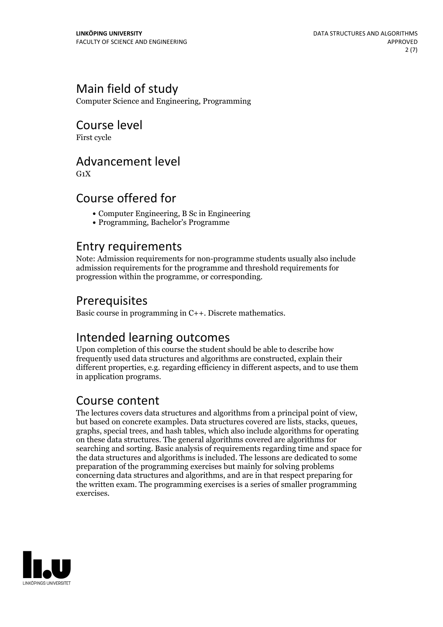## Main field of study

Computer Science and Engineering, Programming

## Course level

First cycle

## Advancement level

 $G_1X$ 

## Course offered for

- Computer Engineering, B Sc in Engineering
- Programming, Bachelor's Programme

## Entry requirements

Note: Admission requirements for non-programme students usually also include admission requirements for the programme and threshold requirements for progression within the programme, or corresponding.

## Prerequisites

Basic course in programming in C++. Discrete mathematics.

## Intended learning outcomes

Upon completion of this course the student should be able to describe how frequently used data structures and algorithms are constructed, explain their different properties, e.g. regarding efficiency in different aspects, and to use them in application programs.

**Course content**<br>The lectures covers data structures and algorithms from a principal point of view. but based on concrete examples. Data structures covered are lists, stacks, queues, graphs, special trees, and hash tables, which also include algorithms for operating on these data structures. The general algorithms covered are algorithms for searching and sorting. Basic analysis of requirements regarding time and space for the data structures and algorithms is included. The lessons are dedicated to some preparation of the programming exercises but mainly for solving problems concerning data structures and algorithms, and are in that respect preparing for the written exam. The programming exercises is a series of smaller programming exercises.

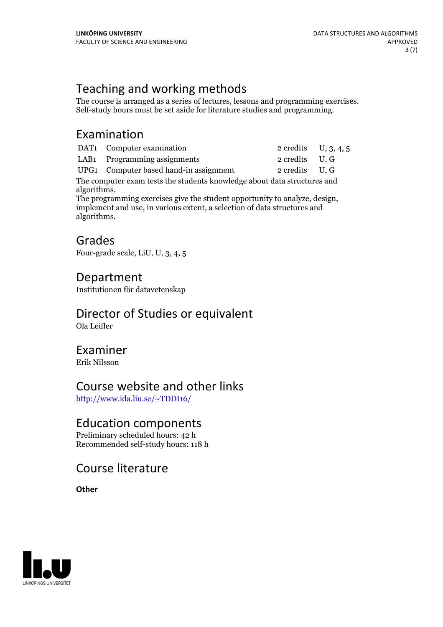Teaching and working methods<br>The course is arranged as a series of lectures, lessons and programming exercises. Self-study hours must be set aside for literature studies and programming.

## Examination

| DAT <sub>1</sub> Computer examination | 2 credits $U, 3, 4, 5$ |  |
|---------------------------------------|------------------------|--|
| LAB1 Programming assignments          | 2 credits U, G         |  |

UPG1 Computer based hand-in assignment 2 credits U, G

The computer exam tests the students knowledge about data structures and

algorithms. The programming exercises give the student opportunity to analyze, design, implement and use, in various extent, <sup>a</sup> selection of data structures and algorithms.

## Grades

Four-grade scale, LiU, U, 3, 4, 5

## Department

Institutionen för datavetenskap

## Director of Studies or equivalent

Ola Leifler

## Examiner

Erik Nilsson

## Course website and other links

<http://www.ida.liu.se/~TDDI16/>

## Education components

Preliminary scheduled hours: 42 h Recommended self-study hours: 118 h

## Course literature

**Other**

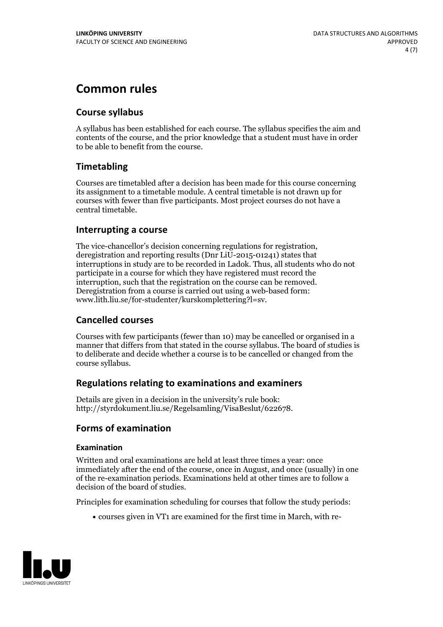## **Common rules**

#### **Course syllabus**

A syllabus has been established for each course. The syllabus specifies the aim and contents of the course, and the prior knowledge that a student must have in order to be able to benefit from the course.

### **Timetabling**

Courses are timetabled after a decision has been made for this course concerning its assignment to a timetable module. A central timetable is not drawn up for courses with fewer than five participants. Most project courses do not have a central timetable.

#### **Interrupting a course**

The vice-chancellor's decision concerning regulations for registration, deregistration and reporting results (Dnr LiU-2015-01241) states that interruptions in study are to be recorded in Ladok. Thus, all students who do not participate in a course for which they have registered must record the interruption, such that the registration on the course can be removed. Deregistration from <sup>a</sup> course is carried outusing <sup>a</sup> web-based form: www.lith.liu.se/for-studenter/kurskomplettering?l=sv.

#### **Cancelled courses**

Courses with few participants (fewer than 10) may be cancelled or organised in a manner that differs from that stated in the course syllabus. The board of studies is to deliberate and decide whether a course is to be cancelled orchanged from the course syllabus.

#### **Regulations relatingto examinations and examiners**

Details are given in a decision in the university's rule book: http://styrdokument.liu.se/Regelsamling/VisaBeslut/622678.

#### **Forms of examination**

#### **Examination**

Written and oral examinations are held at least three times a year: once immediately after the end of the course, once in August, and once (usually) in one of the re-examination periods. Examinations held at other times are to follow a decision of the board of studies.

Principles for examination scheduling for courses that follow the study periods:

courses given in VT1 are examined for the first time in March, with re-

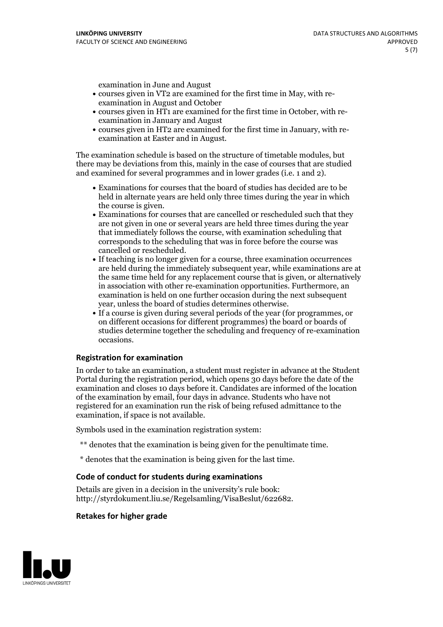examination in June and August

- courses given in VT2 are examined for the first time in May, with re-examination in August and October
- courses given in HT1 are examined for the first time in October, with re-examination in January and August
- courses given in HT2 are examined for the first time in January, with re-examination at Easter and in August.

The examination schedule is based on the structure of timetable modules, but there may be deviations from this, mainly in the case of courses that are studied and examined for several programmes and in lower grades (i.e. 1 and 2).

- Examinations for courses that the board of studies has decided are to be held in alternate years are held only three times during the year in which
- the course is given.<br>• Examinations for courses that are cancelled or rescheduled such that they are not given in one or several years are held three times during the year that immediately follows the course, with examination scheduling that corresponds to the scheduling that was in force before the course was cancelled or rescheduled.<br>• If teaching is no longer given for a course, three examination occurrences
- are held during the immediately subsequent year, while examinations are at the same time held for any replacement course that is given, or alternatively in association with other re-examination opportunities. Furthermore, an examination is held on one further occasion during the next subsequent year, unless the board of studies determines otherwise.<br>• If a course is given during several periods of the year (for programmes, or
- on different occasions for different programmes) the board orboards of studies determine together the scheduling and frequency of re-examination occasions.

#### **Registration for examination**

In order to take an examination, a student must register in advance at the Student Portal during the registration period, which opens 30 days before the date of the examination and closes 10 days before it. Candidates are informed of the location of the examination by email, four days in advance. Students who have not registered for an examination run the risk of being refused admittance to the examination, if space is not available.

Symbols used in the examination registration system:

- \*\* denotes that the examination is being given for the penultimate time.
- \* denotes that the examination is being given for the last time.

#### **Code of conduct for students during examinations**

Details are given in a decision in the university's rule book: http://styrdokument.liu.se/Regelsamling/VisaBeslut/622682.

#### **Retakes for higher grade**

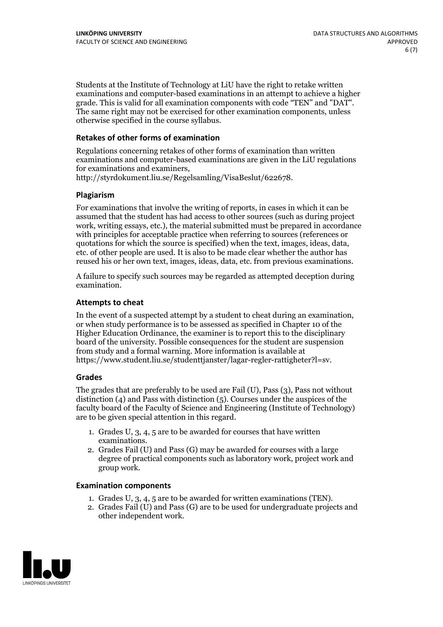Students at the Institute of Technology at LiU have the right to retake written examinations and computer-based examinations in an attempt to achieve a higher grade. This is valid for all examination components with code "TEN" and "DAT". The same right may not be exercised for other examination components, unless otherwise specified in the course syllabus.

#### **Retakes of other forms of examination**

Regulations concerning retakes of other forms of examination than written examinations and computer-based examinations are given in the LiU regulations for examinations and examiners, http://styrdokument.liu.se/Regelsamling/VisaBeslut/622678.

#### **Plagiarism**

For examinations that involve the writing of reports, in cases in which it can be assumed that the student has had access to other sources (such as during project work, writing essays, etc.), the material submitted must be prepared in accordance with principles for acceptable practice when referring to sources (references or quotations for which the source is specified) when the text, images, ideas, data, etc. of other people are used. It is also to be made clear whether the author has reused his or her own text, images, ideas, data, etc. from previous examinations.

A failure to specify such sources may be regarded as attempted deception during examination.

#### **Attempts to cheat**

In the event of <sup>a</sup> suspected attempt by <sup>a</sup> student to cheat during an examination, or when study performance is to be assessed as specified in Chapter <sup>10</sup> of the Higher Education Ordinance, the examiner is to report this to the disciplinary board of the university. Possible consequences for the student are suspension from study and a formal warning. More information is available at https://www.student.liu.se/studenttjanster/lagar-regler-rattigheter?l=sv.

#### **Grades**

The grades that are preferably to be used are Fail (U), Pass (3), Pass not without distinction  $(4)$  and Pass with distinction  $(5)$ . Courses under the auspices of the faculty board of the Faculty of Science and Engineering (Institute of Technology) are to be given special attention in this regard.

- 1. Grades U, 3, 4, 5 are to be awarded for courses that have written
- examinations. 2. Grades Fail (U) and Pass (G) may be awarded for courses with <sup>a</sup> large degree of practical components such as laboratory work, project work and group work.

#### **Examination components**

- 
- 1. Grades U, 3, 4, <sup>5</sup> are to be awarded for written examinations (TEN). 2. Grades Fail (U) and Pass (G) are to be used for undergraduate projects and other independent work.